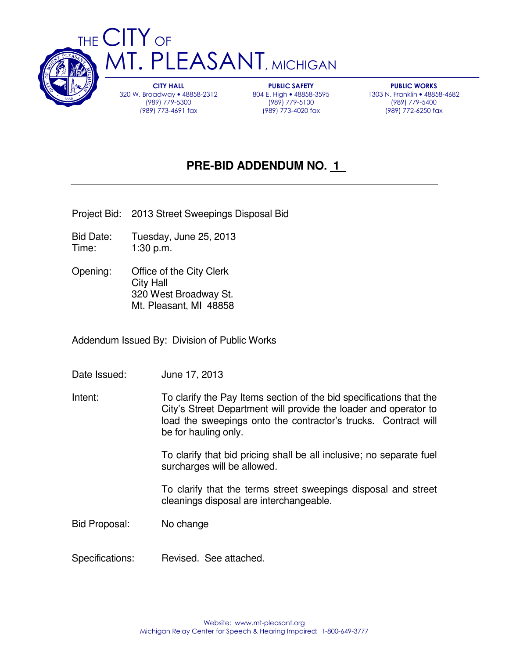

320 W. Broadway • 48858-2312 (989) 779-5300 (989) 773-4691 fax

PUBLIC SAFETY 804 E. High • 48858-3595 (989) 779-5100 (989) 773-4020 fax

PUBLIC WORKS 1303 N. Franklin • 48858-4682 (989) 779-5400 (989) 772-6250 fax

# **PRE-BID ADDENDUM NO. 1\_**

Project Bid: 2013 Street Sweepings Disposal Bid

- Bid Date: Tuesday, June 25, 2013 Time: 1:30 p.m.
- Opening: Office of the City Clerk City Hall 320 West Broadway St. Mt. Pleasant, MI 48858

Addendum Issued By: Division of Public Works

- Date Issued: June 17, 2013
- Intent: To clarify the Pay Items section of the bid specifications that the City's Street Department will provide the loader and operator to load the sweepings onto the contractor's trucks. Contract will be for hauling only.

 To clarify that bid pricing shall be all inclusive; no separate fuel surcharges will be allowed.

 To clarify that the terms street sweepings disposal and street cleanings disposal are interchangeable.

Bid Proposal: No change

Specifications: Revised. See attached.